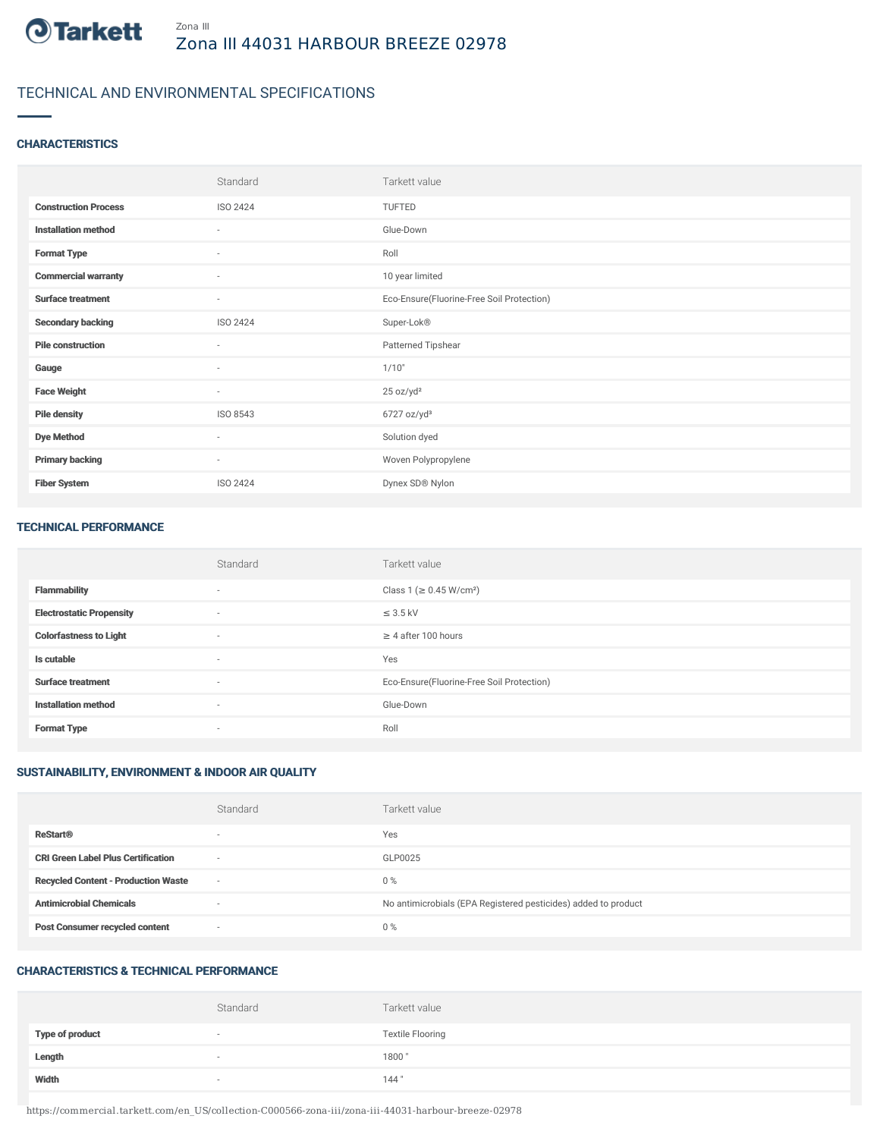

## TECHNICAL AND ENVIRONMENTAL SPECIFICATIONS

### **CHARACTERISTICS**

|                             | Standard | Tarkett value                             |
|-----------------------------|----------|-------------------------------------------|
| <b>Construction Process</b> | ISO 2424 | TUFTED                                    |
| <b>Installation method</b>  | $\sim$   | Glue-Down                                 |
| <b>Format Type</b>          | $\sim$   | Roll                                      |
| <b>Commercial warranty</b>  | $\sim$   | 10 year limited                           |
| <b>Surface treatment</b>    | $\sim$   | Eco-Ensure(Fluorine-Free Soil Protection) |
| <b>Secondary backing</b>    | ISO 2424 | Super-Lok®                                |
| <b>Pile construction</b>    | $\sim$   | Patterned Tipshear                        |
| Gauge                       | $\sim$   | 1/10"                                     |
| <b>Face Weight</b>          | $\sim$   | 25 oz/yd <sup>2</sup>                     |
| <b>Pile density</b>         | ISO 8543 | $6727$ oz/yd <sup>3</sup>                 |
| <b>Dye Method</b>           | ٠        | Solution dyed                             |
| <b>Primary backing</b>      | $\sim$   | Woven Polypropylene                       |
| <b>Fiber System</b>         | ISO 2424 | Dynex SD® Nylon                           |

#### TECHNICAL PERFORMANCE

|                                 | Standard | Tarkett value                             |
|---------------------------------|----------|-------------------------------------------|
| <b>Flammability</b>             | $\sim$   | Class 1 ( $\geq$ 0.45 W/cm <sup>2</sup> ) |
| <b>Electrostatic Propensity</b> | $\sim$   | $\leq$ 3.5 kV                             |
| <b>Colorfastness to Light</b>   | $\sim$   | $\geq$ 4 after 100 hours                  |
| Is cutable                      | $\sim$   | Yes                                       |
| <b>Surface treatment</b>        | $\sim$   | Eco-Ensure(Fluorine-Free Soil Protection) |
| <b>Installation method</b>      | $\sim$   | Glue-Down                                 |
| <b>Format Type</b>              | $\sim$   | Roll                                      |

## SUSTAINABILITY, ENVIRONMENT & INDOOR AIR QUALITY

|                                            | Standard                 | Tarkett value                                                  |
|--------------------------------------------|--------------------------|----------------------------------------------------------------|
| <b>ReStart®</b>                            | $\overline{\phantom{a}}$ | Yes                                                            |
| <b>CRI Green Label Plus Certification</b>  | $\overline{\phantom{a}}$ | GLP0025                                                        |
| <b>Recycled Content - Production Waste</b> |                          | $0\%$                                                          |
| <b>Antimicrobial Chemicals</b>             | $\overline{\phantom{a}}$ | No antimicrobials (EPA Registered pesticides) added to product |
| <b>Post Consumer recycled content</b>      | $\overline{\phantom{a}}$ | $0\%$                                                          |

### CHARACTERISTICS & TECHNICAL PERFORMANCE

|                        | Standard                 | Tarkett value           |
|------------------------|--------------------------|-------------------------|
| <b>Type of product</b> | $\overline{\phantom{a}}$ | <b>Textile Flooring</b> |
| Length                 |                          | 1800"                   |
| Width                  |                          | 144"                    |

https://commercial.tarkett.com/en\_US/collection-C000566-zona-iii/zona-iii-44031-harbour-breeze-02978